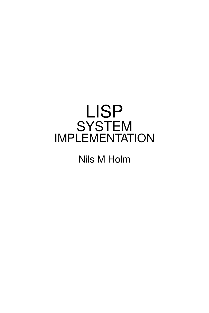# LISP **SYSTEM** IMPLEMENTATION

Nils M Holm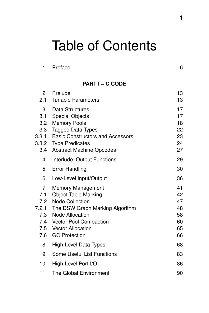# Table of Contents

#### **PART I − C CODE**

| 2.<br>2.1                                      | Prelude<br><b>Tunable Parameters</b>                                                                                                                                                                                             | 13<br>13                                     |
|------------------------------------------------|----------------------------------------------------------------------------------------------------------------------------------------------------------------------------------------------------------------------------------|----------------------------------------------|
| 3.<br>3.1<br>3.2<br>3.3<br>3.3.1<br>3.4        | <b>Data Structures</b><br><b>Special Objects</b><br><b>Memory Pools</b><br><b>Tagged Data Types</b><br><b>Basic Constructors and Accessors</b><br>3.3.2 Type Predicates<br><b>Abstract Machine Opcodes</b>                       | 17<br>17<br>18<br>22<br>23<br>24<br>27       |
| 4.                                             | Interlude: Output Functions                                                                                                                                                                                                      | 29                                           |
| 5.                                             | <b>Error Handling</b>                                                                                                                                                                                                            | 30                                           |
| 6.                                             | Low-Level Input/Output                                                                                                                                                                                                           | 36                                           |
| 7.<br>7.1<br>7.2<br>7.2.1<br>7.4<br>7.5<br>7.6 | <b>Memory Management</b><br><b>Object Table Marking</b><br><b>Node Collection</b><br>The DSW Graph Marking Algorithm<br>7.3 Node Allocation<br><b>Vector Pool Compaction</b><br><b>Vector Allocation</b><br><b>GC Protection</b> | 41<br>42<br>47<br>48<br>58<br>60<br>65<br>66 |
| 8.                                             | High-Level Data Types                                                                                                                                                                                                            | 68                                           |
| 9.                                             | Some Useful List Functions                                                                                                                                                                                                       | 83                                           |
| 10.                                            | High-Level Port I/O                                                                                                                                                                                                              | 86                                           |
| 11.                                            | The Global Environment                                                                                                                                                                                                           | 90                                           |
|                                                |                                                                                                                                                                                                                                  |                                              |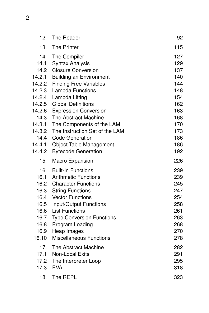| 12.              | The Reader                                               | 92         |
|------------------|----------------------------------------------------------|------------|
| 13.              | <b>The Printer</b>                                       | 115        |
| 14.              | The Compiler                                             | 127        |
| 14.1             | <b>Syntax Analysis</b>                                   | 129        |
| 14.2             | <b>Closure Conversion</b>                                | 137        |
| 14.2.1           | <b>Building an Environment</b>                           | 140        |
| 14.2.2<br>14.2.3 | <b>Finding Free Variables</b><br><b>Lambda Functions</b> | 144<br>148 |
| 14.2.4           | Lambda Lifting                                           | 154        |
| 14.2.5           | <b>Global Definitions</b>                                | 162        |
| 14.2.6           | <b>Expression Conversion</b>                             | 163        |
| 14.3             | The Abstract Machine                                     | 168        |
| 14.3.1           | The Components of the LAM                                | 170        |
| 14.3.2           | The Instruction Set of the LAM                           | 173        |
| 14.4             | <b>Code Generation</b>                                   | 186        |
| 14.4.1           | <b>Object Table Management</b>                           | 186        |
| 14.4.2           | <b>Bytecode Generation</b>                               | 192        |
| 15.              | Macro Expansion                                          | 226        |
| 16.              | <b>Built-In Functions</b>                                | 239        |
| 16.1             | <b>Arithmetic Functions</b>                              | 239        |
|                  | 16.2 Character Functions                                 | 245        |
|                  | 16.3 String Functions                                    | 247        |
|                  | 16.4 Vector Functions                                    | 254        |
| 16.5             | Input/Output Functions                                   | 258        |
| 16.6             | <b>List Functions</b>                                    | 261        |
| 16.7             | <b>Type Conversion Functions</b>                         | 263        |
| 16.8             | Program Loading                                          | 268        |
| 16.9             | Heap Images                                              | 270        |
| 16.10            | <b>Miscellaneous Functions</b>                           | 278        |
| 17.              | The Abstract Machine                                     | 282        |
| 17.1             | <b>Non-Local Exits</b>                                   | 291        |
| 17.2             | The Interpreter Loop                                     | 295        |
| 17.3             | <b>EVAL</b>                                              | 318        |
| 18.              | The REPL                                                 | 323        |

2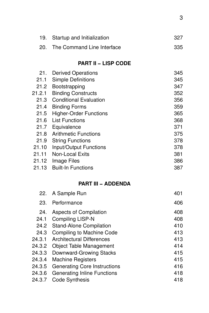| 19. Startup and Initialization | -327 |
|--------------------------------|------|
| 20. The Command Line Interface | 335  |

#### **PART II−LISP CODE**

| 21.    | <b>Derived Operations</b>     | 345 |
|--------|-------------------------------|-----|
| 21.1   | <b>Simple Definitions</b>     | 345 |
| 21.2   | Bootstrapping                 | 347 |
| 21.2.1 | <b>Binding Constructs</b>     | 352 |
| 21.3   | <b>Conditional Evaluation</b> | 356 |
| 21.4   | <b>Binding Forms</b>          | 359 |
| 21.5   | <b>Higher-Order Functions</b> | 365 |
|        | 21.6 List Functions           | 368 |
|        | 21.7 Equivalence              | 371 |
|        | 21.8 Arithmetic Functions     | 375 |
| 21.9   | <b>String Functions</b>       | 378 |
| 21.10  | Input/Output Functions        | 378 |
| 21.11  | <b>Non-Local Exits</b>        | 381 |
| 21.12  | Image Files                   | 386 |
| 21.13  | <b>Built-In Functions</b>     | 387 |

#### **PART III − ADDENDA**

|        | 22. A Sample Run                 | 401 |
|--------|----------------------------------|-----|
| 23.    | Performance                      | 406 |
| 24.    | <b>Aspects of Compilation</b>    | 408 |
| 24.1   | <b>Compiling LISP-N</b>          | 408 |
|        | 24.2 Stand-Alone Compilation     | 410 |
| 24.3   | Compiling to Machine Code        | 413 |
| 24.3.1 | <b>Architectural Differences</b> | 413 |
| 24.3.2 | <b>Object Table Management</b>   | 414 |
| 24.3.3 | Downward-Growing Stacks          | 415 |
| 24.3.4 | <b>Machine Registers</b>         | 415 |
| 24.3.5 | Generating Core Instructions     | 416 |
| 24.3.6 | Generating Inline Functions      | 418 |
| 24.3.7 | <b>Code Synthesis</b>            | 418 |
|        |                                  |     |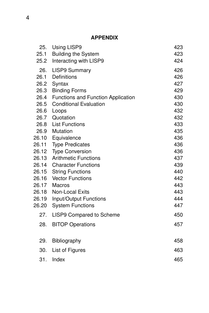#### **APPENDIX**

| 25.   | <b>Using LISP9</b>                 | 423 |
|-------|------------------------------------|-----|
| 25.1  | <b>Building the System</b>         | 423 |
| 25.2  | Interacting with LISP9             | 424 |
| 26.   | <b>LISP9 Summary</b>               | 426 |
| 26.1  | Definitions                        | 426 |
| 26.2  | Syntax                             | 427 |
| 26.3  | <b>Binding Forms</b>               | 429 |
| 26.4  | Functions and Function Application | 430 |
| 26.5  | <b>Conditional Evaluation</b>      | 430 |
| 26.6  | Loops                              | 432 |
| 26.7  | Quotation                          | 432 |
| 26.8  | <b>List Functions</b>              | 433 |
|       | 26.9 Mutation                      | 435 |
| 26.10 | Equivalence                        | 436 |
| 26.11 | <b>Type Predicates</b>             | 436 |
| 26.12 | <b>Type Conversion</b>             | 436 |
| 26.13 | <b>Arithmetic Functions</b>        | 437 |
| 26.14 | <b>Character Functions</b>         | 439 |
| 26.15 | <b>String Functions</b>            | 440 |
| 26.16 | <b>Vector Functions</b>            | 442 |
| 26.17 | <b>Macros</b>                      | 443 |
| 26.18 | Non-Local Exits                    | 443 |
| 26.19 | Input/Output Functions             | 444 |
| 26.20 | <b>System Functions</b>            | 447 |
| 27.   | <b>LISP9 Compared to Scheme</b>    | 450 |
| 28.   | <b>BITOP Operations</b>            | 457 |
| 29.   | Bibliography                       | 458 |
| 30.   | List of Figures                    | 463 |
|       |                                    |     |
| 31.   | Index                              | 465 |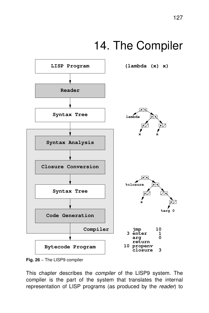# 14. The Compiler



**Fig. 26** − The LISP9 compiler

This chapter describes the *compiler* of the LISP9 system. The compiler is the part of the system that translates the internal representation of LISP programs (as produced by the reader) to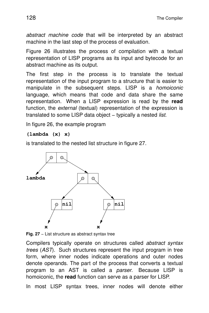abstract machine code that will be interpreted by an abstract machine in the last step of the process of evaluation.

Figure 26 illustrates the process of compilation with a textual representation of LISP programs as its input and bytecode for an abstract machine as its output.

The first step in the process is to translate the textual representation of the input program to a structure that is easier to manipulate in the subsequent steps. LISP is a homoiconic language, which means that code and data share the same representation. When a LISP expression is read by the **read** function, the *external* (textual) representation of the expression is translated to some LISP data object – typically a nested list.

In figure 26, the example program

#### **(lambda (x) x)**

is translated to the nested list structure in figure 27.



**Fig. 27** – List structure as abstract syntax tree

Compilers typically operate on structures called abstract syntax trees (AST). Such structures represent the input program in tree form, where inner nodes indicate operations and outer nodes denote operands. The part of the process that converts a textual program to an AST is called a *parser*. Because LISP is homoiconic, the **read** function can serve as a parser for LISP.

In most LISP syntax trees, inner nodes will denote either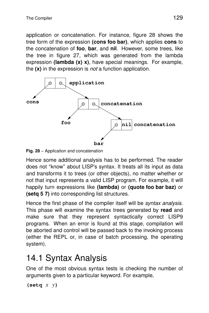application or concatenation. For instance, figure 28 shows the tree form of the expression (cons foo bar), which applies cons to the concatenation of **foo**, **bar**, and **nil**. However, some trees, like the tree in figure 27, which was generated from the lambda expression **(lambda (x) x)**, have special meanings. For example, the **(x)** in the expression is not a function application.



**Fig. 28** − Application and concatenation

Hence some additional analysis has to be performed. The reader does not "know" about LISP's syntax. It treats all its input as data and transforms it to trees (or other objects), no matter whether or not that input represents a valid LISP program. For example, it will happily turn expressions like **(lambda)** or **(quote foo bar baz)** or **(setq 5 7)** into corresponding list structures.

Hence the first phase of the compiler itself will be *syntax analysis*. This phase will examine the syntax trees generated by **read** and make sure that they represent syntactically correct LISP9 programs. When an error is found at this stage, compilation will be aborted and control will be passed back to the invoking process (either the REPL or, in case of batch processing, the operating system).

## 14.1 Syntax Analysis

One of the most obvious syntax tests is checking the number of arguments given to a particular keyword. For example,

```
(setq x y)
```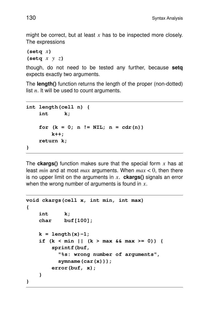might be correct, but at least *x* has to be inspected more closely. The expressions

**(setq** *x***) (setq** *x y z***)**

though, do not need to be tested any further, because **setg** expects exactly two arguments.

The **length()** function returns the length of the proper (non-dotted) list *n*. It will be used to count arguments.

```
int length(cell n) {
    int k;
    for (k = 0; n != NIL; n = cdr(n))
        k++;
    return k;
}
```
The **ckargs()** function makes sure that the special form  $x$  has at least *min* and at most *max* arguments. When *max* < 0, then there is no upper limit on the arguments in *x*. **ckargs()** signals an error when the wrong number of arguments is found in *x*.

```
void ckargs(cell x, int min, int max)
{
    int k;
    char buf[100];
    k = length(x)-1;if (k < min || (k > max && max >= 0)) {
        sprintf(buf,
          "%s: wrong number of arguments",
          symname(car(x)));
        error(buf, x);
    }
}
```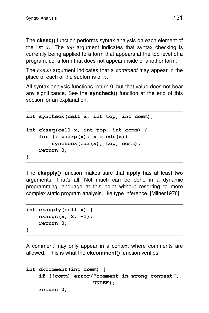The **ckseq**() function performs syntax analysis on each element of the list *x*. The *top* argument indicates that syntax checking is currently being applied to a form that appears at the top level of a program, i.e. a form that does not appear inside of another form.

The *comm* argument indicates that a comment may appear in the place of each of the subforms of x.

All syntax analysis functions return 0, but that value does not bear any significance. See the **syncheck()** function at the end of this section for an explanation.

```
int syncheck(cell x, int top, int comm);
int ckseq(cell x, int top, int comm) {
    for (; pairp(x); x = cdr(x)syncheck(car(x), top, comm);
    return 0;
}
```
The **ckapply()** function makes sure that **apply** has at least two arguments. That's all. Not much can be done in a dynamic programming language at this point without resorting to more complex static program analysis, like type inference. [Milner1978]

```
int ckapply(cell x) {
    ckargs(x, 2, -1);
    return 0;
}
```
A comment may only appear in a context where comments are allowed. This is what the **ckcomment**() function verifies.

```
int ckcomment(int comm) {
    if (!comm) error("comment in wrong context",
                     UNDEF);
    return 0;
```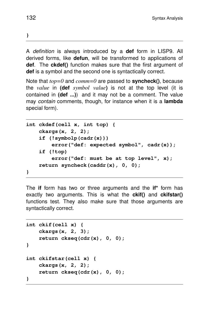**}**

A definition is always introduced by a **def** form in LISP9. All derived forms. like defun, will be transformed to applications of **def**. The **ckdef()** function makes sure that the first argument of **def** is a symbol and the second one is syntactically correct.

Note that *top=0* and *comm=0* are passed to **syncheck()**, because the *value* in **(def** *symbol value***)** is not at the top level (it is contained in **(def ...)**) and it may not be a comment. The value may contain comments, though, for instance when it is a **lambda** special form).

```
int ckdef(cell x, int top) {
    ckargs(x, 2, 2);
    if (!symbolp(cadr(x)))
        error("def: expected symbol", cadr(x));
    if (!top)
        error("def: must be at top level", x);
    return syncheck(caddr(x), 0, 0);
}
```
The **if** form has two or three arguments and the **if\*** form has exactly two arguments. This is what the **ckif()** and **ckifstar()** functions test. They also make sure that those arguments are syntactically correct.

```
int ckif(cell x) {
    ckargs(x, 2, 3);
    return ckseq(cdr(x), 0, 0);
}
int ckifstar(cell x) {
    ckargs(x, 2, 2);
    return ckseq(cdr(x), 0, 0);
}
```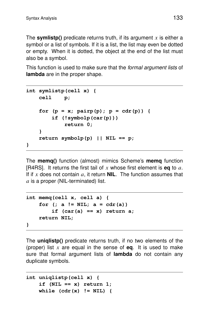The **symlistp()** predicate returns truth, if its argument *x* is either a symbol or a list of symbols. If it is a list, the list may even be dotted or empty. When it is dotted, the object at the end of the list must also be a symbol.

This function is used to make sure that the *formal argument lists* of **lambda** are in the proper shape.

```
int symlistp(cell x) {
   cell p;
    for (p = x; pairp(p); p = cdr(p)) {
        if (!symbolp(car(p)))
            return 0;
    }
    return symbolp(p) || NIL == p;
}
```
The **memq()** function (almost) mimics Scheme's **memq** function [R4RS]. It retur ns the first tail of *x* whose first element is **eq** to *a*. If if  $x$  does not contain  $a$ , it return **NIL**. The function assumes that *a* is a proper (NIL-terminated) list.

```
int memq(cell x, cell a) {
    for (; a != NIL; a = cdr(a))
        if (car(a) == x) return a;
    return NIL;
}
```
The **uniqlistp()** predicate returns truth, if no two elements of the (proper) list *x* are equal in the sense of **eq**. It is used to make sure that formal argument lists of **lambda** do not contain any duplicate symbols.

```
int uniqlistp(cell x) {
    if (NIL == x) return 1;
   while (cdr(x) != NIL) {
```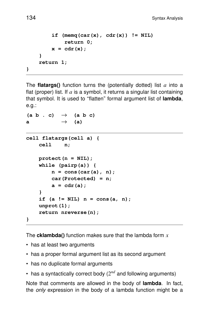```
if (\text{memq}(car(x), cdr(x)) := NIL)return 0;
    x=cdr(x);
}
return 1;
```
The **flatargs()** function turns the (potentially dotted) list *a* into a flat (proper) list. If *a* is a symbol, it returns a singular list containing that symbol. It is used to ''flatten'' for mal argument list of **lambda**, e.g.:

```
(a b . c) \rightarrow (a b c)a \rightarrow (a)
cell flatargs(cell a) {
    cell n;
    protect(n = NIL);
    while (pairp(a)) {
        n=cons(car(a), n);
        car(Protected) = n;
        a=cdr(a);
    }
    if (a != NIL) n = cons(a, n);
    unprot(1);
    return nreverse(n);
}
```
The **cklambda**() function makes sure that the lambda form  $x$ 

- has at least two arguments
- has a proper formal argument list as its second argument
- has no duplicate formal arguments
- has a syntactically correct body  $(2^{nd}$  and following arguments)

Note that comments are allowed in the body of **lambda**. In fact, the *only* expression in the body of a lambda function might be a

**}**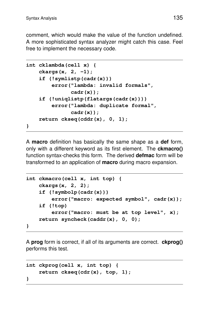comment, which would make the value of the function undefined. A more sophisticated syntax analyzer might catch this case. Feel free to implement the necessary code.

```
int cklambda(cell x) {
    ckargs(x, 2, -1);
    if (!symlistp(cadr(x)))
        error("lambda: invalid formals",
              cadr(x));
    if (!uniqlistp(flatargs(cadr(x))))
        error("lambda: duplicate formal",
              cadr(x));
    return ckseq(cddr(x), 0, 1);
}
```
A **macro** definition has basically the same shape as a **def** form, only with a different keyword as its first element. The **ckmacro()** function syntax-checks this form. The derived **defmac** form will be transformed to an application of **macro** during macro expansion.

```
int ckmacro(cell x, int top) {
    ckargs(x, 2, 2);
    if (!symbolp(cadr(x)))
        error("macro: expected symbol", cadr(x));
    if (!top)
        error("macro: must be at top level", x);
    return syncheck(caddr(x), 0, 0);
}
```
A **prog** form is correct, if all of its arguments are correct. **ckprog()** performs this test.

```
int ckprog(cell x, int top) {
    return ckseq(cdr(x), top, 1);
}
```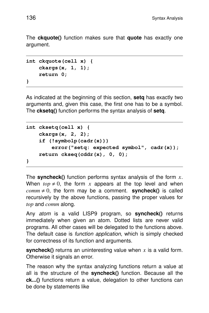The **ckquote()** function makes sure that **quote** has exactly one argument.

```
int ckquote(cell x) {
    ckargs(x, 1, 1);
    return 0;
}
```
As indicated at the beginning of this section, **setq** has exactly two arguments and, given this case, the first one has to be a symbol. The **cksetq()** function perfor ms the syntax analysis of **setq**.

```
int cksetq(cell x) {
    ckargs(x, 2, 2);
    if (!symbolp(cadr(x)))
        error("setq: expected symbol", cadr(x));
    return ckseq(cddr(x), 0, 0);
}
```
The **syncheck()** function performs syntax analysis of the form  $x$ . When  $top \neq 0$ , the form x appears at the top level and when  $comm \neq 0$ , the form may be a comment. **syncheck()** is called recursively by the above functions, passing the proper values for *top* and *comm* along.

Any *atom* is a valid LISP9 program, so **syncheck()** returns immediately when given an atom. Dotted lists are never valid programs. All other cases will be delegated to the functions above . The default case is *function application*, which is simply checked for correctness of its function and arguments.

**syncheck()** returns an uninteresting value when  $x$  is a valid form. Otherwise it signals an error.

The reason why the syntax analyzing functions return a value at all is the structure of the **syncheck()** function. Because all the **ck...()** functions return a value, delegation to other functions can be done by statements like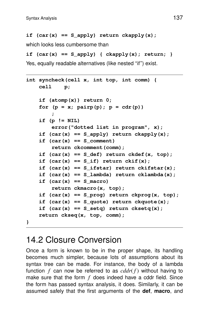```
if (car(x) == S_apply) return ckapply(x);
```
which looks less cumbersome than

```
if (car(x) == S_apply) { ckapply(x); return; }
```
Yes, equally readable alternatives (like nested "if") exist.

```
int syncheck(cell x, int top, int comm) {
   cell p;
    if (atomp(x)) return 0;
    for (p = x; pairp(p); p = cdr(p));
    if (p != NIL)
        error("dotted list in program", x);
    if (car(x) == S_apply) return ckapply(x);
    if (car(x) == S comment)
        return ckcomment(comm);
    if (car(x) == S_def) return ckdef(x, top);
    if (car(x) == S if) return ckif(x);
    if (car(x) == S_ifstar) return ckifstar(x);
    if (car(x) == S_lambda) return cklambda(x);
    if (car(x) == S macro)return ckmacro(x, top);
    if (car(x) == S_prog) return ckprog(x, top);
    if (car(x) == S_quote) return ckquote(x);
    if (car(x) == S_setq) return cksetq(x);
    return ckseq(x, top, comm);
```
**}**

## 14.2 Closure Conversion

Once a form is known to be in the proper shape, its handling becomes much simpler, because lots of assumptions about its syntax tree can be made. For instance, the body of a lambda function  $f$  can now be referred to as  $cddr(f)$  without having to make sure that the form  $f$  does indeed have a cddr field. Since the form has passed syntax analysis, it does. Similarly, it can be assumed safely that the first arguments of the **def**, **macro**, and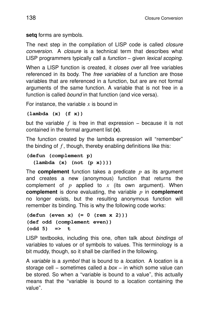**setq** forms are symbols.

The next step in the compilation of LISP code is called *closure* conversion. A closure is a technical term that describes what LISP programmers typically call a *function* – given *lexical scoping*.

When a LISP function is created, it *closes over* all free variables referenced in its body. The *free variables* of a function are those variables that are referenced in a function, but are are not formal arguments of the same function. A variable that is not free in a function is called *bound* in that function (and vice versa).

For instance, the variable  $x$  is bound in

**(lambda (x) (f x))**

but the variable *f* is free in that expression – because it is not contained in the formal argument list (x).

The function created by the lambda expression will "remember" the binding of *f* , though, thereby enabling definitions like this:

```
(defun (complement p)
  (lambda (x) (not (p x))))
```
The **complement** function takes a predicate *p* as its argument and creates a new (anonymous) function that returns the complement of  $p$  applied to  $x$  (its own argument). When **complement** is done evaluating, the variable  $p$  in **complement** no longer exists, but the resulting anonymous function will remember its binding. This is why the following code works:

```
(defun (even x) (= 0 (rem x 2)))
(def odd (complement even))
(odd 5) => t
```
LISP textbooks, including this one, often talk about bindings of variables to values or of symbols to values. This terminology is a bit muddy, though, so it shall be clarified in the following.

A variable is a symbol that is bound to a location. A location is a storage cell – sometimes called a box – in which some value can be stored. So when a "variable is bound to a value", this actually means that the "variable is bound to a location containing the value''.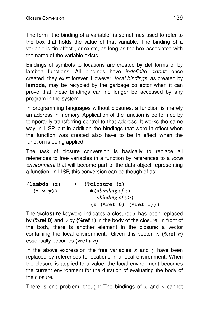The term "the binding of a variable" is sometimes used to refer to the box that holds the value of that variable. The binding of a variable is ''in effect'', or exists, as long as the box associated with the name of the variable exists.

Bindings of symbols to locations are created by **def** forms or by lambda functions. All bindings have indefinite extent: once created, they exist forever. However, *local bindings*, as created by **lambda**, may be recycled by the garbage collector when it can prove that these bindings can no longer be accessed by any program in the system.

In programming languages without closures, a function is merely an address in memory. Application of the function is performed by temporarily transferring control to that address. It works the same way in LISP, but in addition the bindings that were in effect when the function was created also have to be in effect when the function is being applied.

The task of closure conversion is basically to replace all references to free variables in a function by references to a *local* environment that will become part of the data object representing a function. In LISP, this conversion can be though of as:

```
(lambda (z) --> (%closure (z)
  (z \times y) \qquad \qquad # (<br/>binding of x>
                          <binding of y>)
                        (z (%ref 0) (%ref 1)))
```
The **%closure** keyword indicates a closure; *x* has been replaced by **(%ref 0)** and *y* by **(%ref 1)** in the body of the closure. In front of the body, there is another element in the closure: a vector containing the local environment. Given this vector *v*, **(%ref** *n***)** essentially becomes **(vref** *v n***)**.

In the above expression the free variables x and  $y$  have been replaced by references to locations in a local environment. When the closure is applied to a value, the local environment becomes the current environment for the duration of evaluating the body of the closure.

There is one problem, though: The bindings of *x* and *y* cannot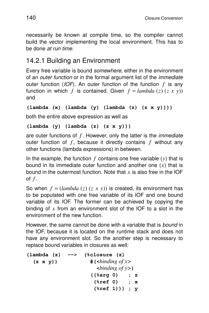necessarily be known at compile time, so the compiler cannot build the vector implementing the local environment. This has to be done at run time.

### 14.2.1 Building an Environment

Every free variable is bound *somewhere*, either in the environment of an *outer function* or in the formal argument list of the *immediate* outer function (IOF). An outer function of the function *f* is any function in which *f* is contained. Given  $f = lambda(z) (z x y)$ and

```
(lambda (x) (lambda (y) (lambda (z) (z x y))))
```
both the entire above expression as well as

```
(lambda (y) (lambda (z) (z x y)))
```
are outer functions of  $f$ . However, only the latter is the *immediate* outer function of *f* , because it directly contains *f* without any other functions (lambda expressions) in between.

In the example, the function  $f$  contains one free variable  $(y)$  that is bound in its immediate outer function and another one (*x*) that is bound in the outermost function. Note that *x* is also free in the IOF of *f* .

So when  $f = (lambda(z) (z x y))$  is created, its environment has to be populated with one free variable of its IOF and one bound variable of its IOF. The former can be achieved by copying the binding of *x* from an environment slot of the IOF to a slot in the environment of the new function.

However, the same cannot be done with a variable that is bound in the IOF, because it is located on the runtime stack and does not have any environment slot. So the another step is necessary to replace bound variables in closures as well:

**(lambda (z) --> (%closure (z)**  $(z \times y)$   $\qquad \qquad #$  (*sbinding of x* **<***binding of y>***) ((%arg 0) ; z (%ref 0) ; x (%ref 1))) ; y**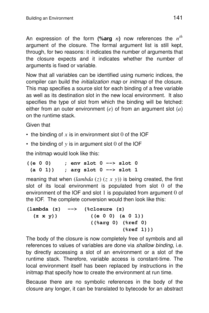An expression of the form (%arg  $n$ ) now references the  $n^{th}$ argument of the closure. The formal argument list is still kept, through, for two reasons: it indicates the number of arguments that the closure expects and it indicates whether the number of arguments is fixed or variable.

Now that all variables can be identified using numeric indices, the compiler can build the initialization map or initmap of the closure. This map specifies a source slot for each binding of a free variable as well as its destination slot in the new local environment. It also specifies the type of slot from which the binding will be fetched: either from an outer environment (*e*) of from an argument slot (*a*) on the runtime stack.

Given that

- $\cdot$  the binding of x is in environment slot 0 of the IOF
- the binding of *y* is in argument slot 0 of the IOF

the initmap would look like this:

**((e 0 0) ; env slot 0 --> slot 0 (a 0 1)) ; arg slot 0 --> slot 1**

meaning that when  $(lambda (z) (z x y))$  is being created, the first slot of its local environment is populated from slot  $0$  of the environment of the IOF and slot 1 is populated from argument 0 of the IOF. The complete conversion would then look like this:

**(lambda (z) --> (%closure (z) (z x y)) ((e 0 0) (a 0 1)) ((%arg 0) (%ref 0) (%ref 1)))**

The body of the closure is now completely free of symbols and all references to values of variables are done via shallow binding, i.e. by directly accessing a slot of an environment or a slot of the runtime stack. Therefore, variable access is constant-time. The local environment itself has been replaced by instructions in the initmap that specify how to create the environment at run time.

Because there are no symbolic references in the body of the closure any longer, it can be translated to bytecode for an abstract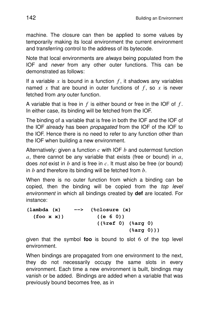machine. The closure can then be applied to some values by temporarily making its local environment the current environment and transferring control to the address of its bytecode.

Note that local environments are *always* being populated from the IOF and never from any other outer functions. This can be demonstrated as follows:

If a variable  $x$  is bound in a function  $f$ , it shadows any variables named x that are bound in outer functions of  $f$ , so  $x$  is never fetched from any outer function.

A var iable that is free in *f* is either bound or free in the IOF of *f* . In either case, its binding will be fetched from the IOF.

The binding of a variable that is free in both the IOF and the IOF of the IOF already has been propagated from the IOF of the IOF to the IOF. Hence there is no need to refer to any function other than the IOF when building a new environment.

Alternatively: given a function c with IOF b and outermost function  $a$ , there cannot be any variable that exists (free or bound) in  $a$ , does not exist in *b* and is free in *c*. It must also be free (or bound) in *b* and therefore its binding will be fetched from *b*.

When there is no outer function from which a binding can be copied, then the binding will be copied from the top level environment in which all bindings created by **def** are located. For instance:

```
(lambda (x) --> (%closure (x)
 (foo x x)) ((e 6 0))
                   ((%ref 0) (%arg 0)
                            (%arg 0)))
```
given that the symbol **foo** is bound to slot 6 of the top level environment.

When bindings are propagated from one environment to the next, they do not necessarily occupy the same slots in every environment. Each time a new environment is built, bindings may vanish or be added. Bindings are added when a variable that was previously bound becomes free, as in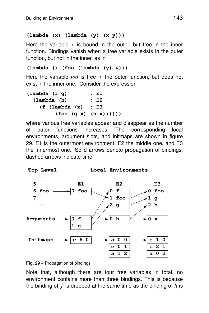#### **(lambda (x) (lambda (y) (x y)))**

Here the variable  $x$  is bound in the outer, but free in the inner function. Bindings vanish when a free variable exists in the outer function, but not in the inner, as in

#### **(lambda () (foo (lambda (y) y)))**

Here the variable *foo* is free in the outer function, but does not exist in the inner one. Consider the expression

| $(\text{lambda} (\text{f } q))$ | ; E1               |
|---------------------------------|--------------------|
| (lambda(h)                      | ; E2               |
| (f (lambda (x) ; E3))           |                    |
|                                 | (foo (g x) (h x))) |

where various free variables appear and disappear as the number of outer functions increases. The corresponding local environments, argument slots, and initmaps are shown in figure 29. E1 is the outermost environment, E2 the middle one, and E3 the innermost one. Solid arrows denote propagation of bindings, dashed arrows indicate time.





Note that, although there are four free variables in total, no environment contains more than three bindings. This is because the binding of *f* is dropped at the same time as the binding of *h* is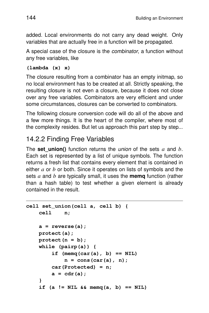added. Local environments do not carry any dead weight. Only variables that are actually free in a function will be propagated.

A special case of the closure is the *combinator*, a function without any free variables, like

#### **(lambda (x) x)**

The closure resulting from a combinator has an empty initmap, so no local environment has to be created at all. Strictly speaking, the resulting closure is not even a closure, because it does not close over any free variables. Combinators are very efficient and under some circumstances, closures can be converted to combinators.

The following closure conversion code will do all of the above and a few more things. It is the heart of the compiler, where most of the complexity resides. But let us approach this part step by step...

## 14.2.2 Finding Free Variables

The **set\_union()** function returns the union of the sets *a* and *b*. Each set is represented by a list of unique symbols. The function returns a fresh list that contains every element that is contained in either *a* or *b* or both. Since it operates on lists of symbols and the sets *a* and *b* are typically small, it uses the **memq** function (rather than a hash table) to test whether a given element is already contained in the result.

```
cell set_union(cell a, cell b) {
    cell n;
    a=reverse(a);
    protect(a);
    protect(n = b);
    while (pairp(a)) {
        if (memq(car(a), b) == NIL)
             n=cons(car(a), n);
        car(Protected) = n;
        a=cdr(a);
    }
    if (a := \text{NIL } \& \text{memq}(a, b) == \text{NIL})
```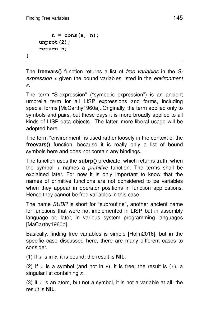```
n=cons(a, n);
   unprot(2);
    return n;
}
```
The **freevars**() function returns a list of *free variables* in the Sexpression  $x$  given the bound variables listed in the environment *e*.

The term "S-expression" ("symbolic expression") is an ancient umbrella term for all LISP expressions and forms, including special forms [McCarthy1960a]. Originally, the term applied only to symbols and pairs, but these days it is more broadly applied to all kinds of LISP data objects. The latter, more liberal usage will be adopted here.

The term "environment" is used rather loosely in the context of the **freevars()** function, because it is really only a list of bound symbols here and does not contain any bindings.

The function uses the **subrp()** predicate, which returns truth, when the symbol  $x$  names a *primitive* function. The terms shall be explained later. For now it is only important to know that the names of primitive functions are not considered to be variables when they appear in operator positions in function applications. Hence they cannot be free variables in this case.

The name SUBR is short for "subroutine", another ancient name for functions that were not implemented in LISP, but in assembly language or, later, in various system programming languages [MaCarthy1960b].

Basically, finding free variables is simple [Holm2016], but in the specific case discussed here, there are many different cases to consider.

(1) If *x* is in *e*, it is bound; the result is **NIL**.

(2) If  $x$  is a symbol (and not in  $e$ ), it is free; the result is  $(x)$ , a singular list containing *x*.

(3) If  $x$  is an atom, but not a symbol, it is not a variable at all; the result is **NIL**.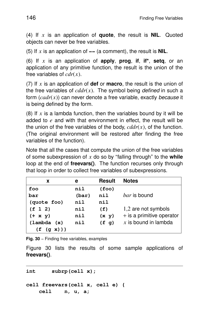(4) If *x* is an application of **quote**, the result is **NIL**. Quoted objects can never be free variables.

(5) If *x* is an application of **−−** (a comment), the result is **NIL**.

(6) If *x* is an application of **apply**, **prog**, **if**, **if\***, **setq**, or an application of any primitive function, the result is the union of the free variables of  $cdr(x)$ .

(7) If *x* is an application of **def** or **macro**, the result is the union of the free variables of  $cddr(x)$ . The symbol being *defined* in such a form  $(cadr(x))$  can never denote a free variable, exactly because it is being defined by the form.

(8) If  $x$  is a lambda function, then the variables bound by it will be added to *e* and with that environment in effect, the result will be the union of the free variables of the body,  $cddr(x)$ , of the function. (The original environment will be restored after finding the free variables of the function).

Note that all the cases that compute the union of the free variables of some subexpression of *x* do so by ''falling through'' to the **while** loop at the end of **freevars()**. The function recurses only through that loop in order to collect free variables of subexpressions.

| X           | е     | <b>Result</b> | <b>Notes</b>                |
|-------------|-------|---------------|-----------------------------|
| foo         | nil   | (foo)         |                             |
| bar         | (bar) | nil           | <i>bar</i> is bound         |
| (quote foo) | nil   | nil           |                             |
| (f 1 2)     | nil   | (f)           | 1,2 are not symbols         |
| $(+ x y)$   | nil   | (x, y)        | $+$ is a primitive operator |
| (lambda(x)) | nil   | (f q)         | $x$ is bound in lambda      |
| (f (q x)))  |       |               |                             |

**Fig. 30** – Finding free variables, examples

Figure 30 lists the results of some sample applications of **freevars()**.

**int subrp(cell x);**

```
cell freevars(cell x, cell e) {
   cell n, u, a;
```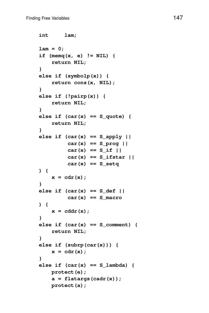```
int lam;
lam = 0;
if (memq(x, e) != NIL) {
    return NIL;
}
else if (symbolp(x)) {
    return cons(x, NIL);
}
else if (!pairp(x)) {
    return NIL;
}
else if (car(x) == S_quote) {
    return NIL;
}
else if (car(x) == S_apply ||
         car(x) == S_prog ||
         car(x) == S_if ||
         car(x) == S_ifstar ||
         car(x) == S_setq
) {
    x=cdr(x);
}
else if (car(x) == S_def ||
         car(x) == S_macc) {
   x=cddr(x);
}
else if (car(x) == S_{comment}) {
    return NIL;
}
else if (subrp(car(x))) {
   x=cdr(x);
}
else if (car(x) == S_lambda) {
   protect(e);
    a=flatargs(cadr(x));
   protect(a);
```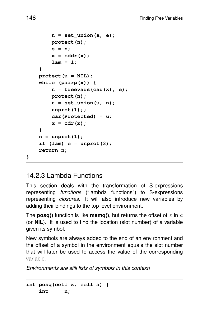```
n=set_union(a, e);
    protect(n);
    e=n;
    x=cddr(x);
    lam = 1;
}
protect(u = NIL);
while (pairp(x)) {
    n=freevars(car(x), e);
    protect(n);
    u=set_union(u, n);
    unprot(1);;
    car(Protected) = u;
    x=cdr(x);
}
n=unprot(1);
if (lam) e = unprot(3);
return n;
```
### 14.2.3 Lambda Functions

This section deals with the transformation of S-expressions representing functions (''lambda functions'') to S-expressions representing closures. It will also introduce new variables by adding their bindings to the top level environment.

The **posq()** function is like **memq()**, but returns the offset of *x* in *a* (or **NIL**). It is used to find the location (slot number) of a variable given its symbol.

New symbols are always added to the end of an environment and the offset of a symbol in the environment equals the slot number that will later be used to access the value of the corresponding variable.

Environments are still lists of symbols in this context!

**int posq(cell x, cell a) { int n;**

**}**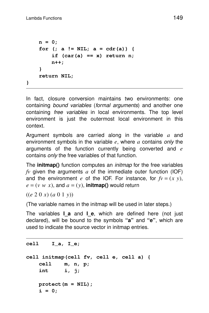```
n=0;
    for (; a != NIL; a = cdr(a)) {
        if (car(a) == x) return n;
        n++;
    }
    return NIL;
}
```
In fact, closure conversion maintains two environments: one containing bound variables (formal arguments) and another one containing *free variables* in local environments. The top level environment is just the outermost local environment in this context.

Argument symbols are carried along in the variable a and environment symbols in the variable  $e$ , where  $a$  contains only the arguments of the function currently being converted and *e* contains *only* the free variables of that function.

The **initmap()** function computes an *initmap* for the free variables *fv* given the arguments *a* of the immediate outer function (IOF) and the environment *e* of the IOF. For instance, for  $fv = (x, y)$ ,  $e = (v w x)$ , and  $a = (y)$ , **initmap()** would return

((*e* 2 0 *x*) (*a* 0 1 *y*))

(The variable names in the initmap will be used in later steps.)

The variables **I** a and **I\_e**, which are defined here (not just declared), will be bound to the symbols **''a''** and **''e''**, which are used to indicate the source vector in initmap entries.

#### **cell I\_a, I\_e;**

```
cell initmap(cell fv, cell e, cell a) {
   cell m, n, p;
   int i, j;
   protect(m = NIL);
   i=0;
```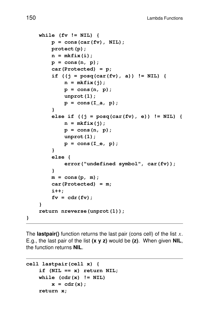```
while (fv != NIL) {
    p=cons(car(fv), NIL);
    protect(p);
    n=mkfix(i);
    p=cons(n, p);
    car(Protected) = p;
    if ((j = posq(car(fv), a)) != NIL) {
        n=mkfix(j);
        p=cons(n, p);
        unprot(1);
        p = \text{cons}(I_a, p);
    }
    else if ((j = posq(car(fv), e)) != NIL) {
        n=mkfix(j);
        p=cons(n, p);
        unprot(1);
        p = cons(I_e, p);
    }
    else {
        error("undefined symbol", car(fv));
    }
    m=cons(p, m);
    car(Protected) = m;
    i++;
    f_v = cdr(f_v);}
return nreverse(unprot(1));
```
The **lastpair()** function returns the last pair (cons cell) of the list *x*. E.g., the last pair of the list **(x y z)** would be **(z)**. When given **NIL**, the function returns **NIL**.

```
cell lastpair(cell x) {
    if (NIL == x) return NIL;
    while (cdr(x) != NIL)
        x=cdr(x);
    return x;
```
**}**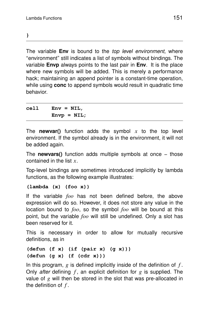**}**

The variable **Env** is bound to the *top level environment*, where ''environment'' still indicates a list of symbols without bindings. The variable **Envp** always points to the last pair in **Env**. It is the place where new symbols will be added. This is merely a performance hack; maintaining an append pointer is a constant-time operation, while using **conc** to append symbols would result in quadratic time behavior.

**cell Env = NIL, Envp = NIL;**

The **newvar()** function adds the symbol *x* to the top level environment. If the symbol already is in the environment, it will not be added again.

The **newvars()** function adds multiple symbols at once − those contained in the list *x*.

Top-level bindings are sometimes introduced implicitly by lambda functions, as the following example illustrates:

#### **(lambda (x) (foo x))**

If the variable *foo* has not been defined before, the above expression will do so. However, it does not store any value in the location bound to *foo*, so the symbol *foo* will be bound at this point, but the var iable *foo* will still be undefined. Only a slot has been reserved for it.

This is necessary in order to allow for mutually recursive definitions, as in

#### **(defun (f x) (if (pair x) (g x))) (defun (g x) (f (cdr x)))**

In this program, *g* is defined implicitly inside of the definition of *f* . Only *after* defining  $f$ , an explicit definition for  $g$  is supplied. The value of *g* will then be stored in the slot that was pre-allocated in the definition of *f* .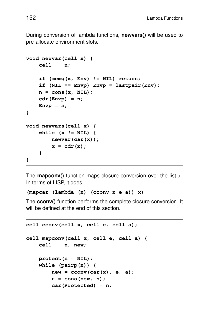During conversion of lambda functions, **newvars()** will be used to pre-allocate environment slots.

```
void newvar(cell x) {
    cell n;
    if (memq(x, Env) != NIL) return;
    if (NIL == Envp) Envp = lastpair(Env);
    n=cons(x, NIL);
    cdr(Envp) = n;
    Envp = n;
}
void newvars(cell x) {
    while (x != NIL) {
        newvar(car(x));
        x=cdr(x);
    }
}
```
The **mapconv()** function maps closure conversion over the list *x*. In terms of LISP, it does

```
(mapcar (lambda (x) (cconv x e a)) x)
```
The **cconv()** function performs the complete closure conversion. It will be defined at the end of this section.

```
cell cconv(cell x, cell e, cell a);
cell mapconv(cell x, cell e, cell a) {
   cell n, new;
   protect(n = NIL);
   while (pairp(x)) {
       new = cconv(car(x), e, a);
        n=cons(new, n);
        car(Protected) = n;
```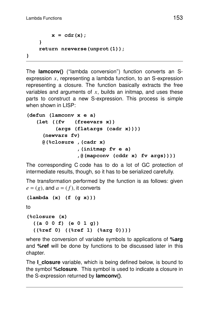```
x=cdr(x);
    }
    return nreverse(unprot(1));
}
```
The **lamconv()** (''lambda conversion'') function converts an Sexpression *x*, representing a lambda function, to an S-expression representing a closure. The function basically extracts the free variables and arguments of *x*, builds an initmap, and uses these parts to construct a new S-expression. This process is simple when shown in LISP:

```
(defun (lamconv x e a)
   (let ((fv (freevars x))
         (args (flatargs (cadr x))))
     (newvars fv)
    @(%closure ,(cadr x)
                ,(initmap fv e a)
                ,@(mapconv (cddr x) fv args))))
```
The corresponding C code has to do a lot of GC protection of inter mediate results, though, so it has to be serialized carefully.

```
The transformation performed by the function is as follows: given
e = (g), and a = (f), it converts
```

```
(lambda (x) (f (g x)))
```
to

```
(%closure (x)
  ((a 0 0 f) (e 0 1 g))
  ((%ref 0) ((%ref 1) (%arg 0))))
```
where the conversion of variable symbols to applications of **%arg** and **%ref** will be done by functions to be discussed later in this chapter.

The **I** closure variable, which is being defined below, is bound to the symbol **%closure**. This symbol is used to indicate a closure in the S-expression returned by **lamconv()**.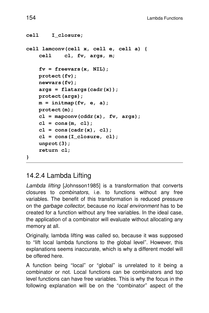```
cell I_closure;
cell lamconv(cell x, cell e, cell a) {
    cell cl, fv, args, m;
    fv = freevars(x, NIL);
    protect(fv);
    newvars(fv);
    args = flatargs(cadr(x));
    protect(args);
    m=initmap(fv, e, a);
    protect(m);
    cl = mapconv(cddr(x), fv, args);
    cl = cons(m, cl);
    cl = cons(cadr(x), cl);
    cl = cons(I_closure, cl);
    unprot(3);
    return cl;
}
```
## 14.2.4 Lambda Lifting

Lambda lifting [Johnsson1985] is a transformation that converts closures to combinators, i.e. to functions without any free variables. The benefit of this transformation is reduced pressure on the garbage collector, because no local environment has to be created for a function without any free variables. In the ideal case, the application of a combinator will evaluate without allocating any memory at all.

Or iginally, lambda lifting was called so, because it was supposed to ''lift local lambda functions to the global level''. However, this explanations seems inaccurate, which is why a different model will be offered here.

A function being ''local'' or ''global'' is unrelated to it being a combinator or not. Local functions can be combinators and top level functions can have free variables. This is why the focus in the following explanation will be on the ''combinator'' aspect of the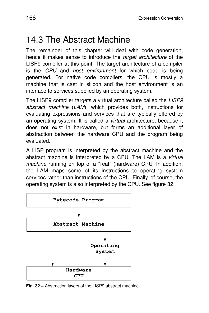## 14.3 The Abstract Machine

The remainder of this chapter will deal with code generation, hence it makes sense to introduce the target architecture of the LISP9 compiler at this point. The target architecture of a compiler is the CPU and host environment for which code is being generated. For native code compilers, the CPU is mostly a machine that is cast in silicon and the host environment is an interface to services supplied by an operating system.

The LISP9 compiler targets a virtual architecture called the LISP9 abstract machine (LAM), which provides both, instructions for evaluating expressions and services that are typically offered by an operating system. It is called a *virtual* architecture, because it does not exist in hardware, but forms an additional layer of abstraction between the hardware CPU and the program being evaluated.

A LISP program is interpreted by the abstract machine and the abstract machine is interpreted by a CPU. The LAM is a virtual machine running on top of a "real" (hardware) CPU. In addition, the LAM maps some of its instructions to operating system services rather than instructions of the CPU. Finally, of course, the operating system is also interpreted by the CPU. See figure 32.



**Fig. 32** – Abstraction layers of the LISP9 abstract machine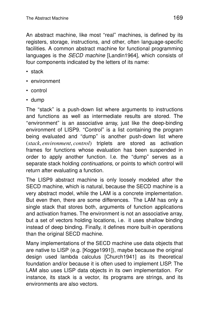An abstract machine, like most "real" machines, is defined by its registers, storage, instructions, and other, often language-specific facilities. A common abstract machine for functional programming languages is the *SECD machine* [Landin1964], which consists of four components indicated by the letters of its name:

- stack
- environment
- control
- dump

The "stack" is a push-down list where arguments to instructions and functions as well as intermediate results are stored. The ''environment'' is an associative array, just like the deep-binding environment of LISP9. "Control" is a list containing the program being evaluated and ''dump'' is another push-down list where (*stack*, *environment*, *control*) triplets are stored as activation frames for functions whose evaluation has been suspended in order to apply another function. I.e. the "dump" serves as a separate stack holding *continuations*, or points to which control will return after evaluating a function.

The LISP9 abstract machine is only loosely modeled after the SECD machine, which is natural, because the SECD machine is a very abstract model, while the LAM is a concrete implementation. But even then, there are some differences. The LAM has only a single stack that stores both, arguments of function applications and activation frames. The environment is not an associative array, but a set of vectors holding locations, i.e. it uses shallow binding instead of deep binding. Finally, it defines more built-in operations than the original SECD machine.

Many implementations of the SECD machine use data objects that are native to LISP (e.g. [Kogge1991]), maybe because the original design used lambda calculus [Church1941] as its theoretical foundation and/or because it is often used to implement LISP. The LAM also uses LISP data objects in its own implementation. For instance, its stack is a vector, its programs are strings, and its environments are also vectors.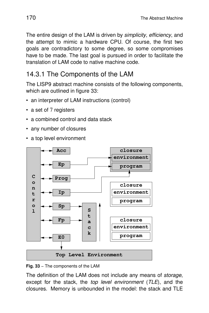The entire design of the LAM is driven by *simplicity*, efficiency, and the attempt to mimic a hardware CPU. Of course, the first two goals are contradictory to some degree, so some compromises have to be made. The last goal is pursued in order to facilitate the translation of LAM code to native machine code.

## 14.3.1 The Components of the LAM

The LISP9 abstract machine consists of the following components, which are outlined in figure 33:

- an interpreter of LAM instructions (control)
- a set of 7 registers
- a combined control and data stack
- any number of closures
- a top level environment



**Fig. 33** − The components of the LAM

The definition of the LAM does not include any means of storage, except for the stack, the *top level environment* (TLE), and the closures. Memory is unbounded in the model: the stack and TLE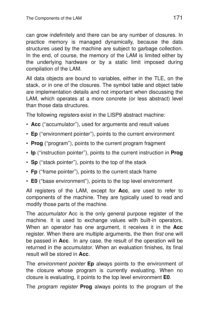can grow indefinitely and there can be any number of closures. In practice memory is managed dynamically, because the data structures used by the machine are subject to garbage collection. In the end, of course, the memory of the LAM is limited either by the underlying hardware or by a static limit imposed during compilation of the LAM.

All data objects are bound to variables, either in the TLE, on the stack, or in one of the closures. The symbol table and object table are implementation details and not important when discussing the LAM, which operates at a more concrete (or less abstract) level than those data structures.

The following *registers* exist in the LISP9 abstract machine:

- **Acc** (''accumulator''), used for arguments and result values
- **Ep** (''environment pointer''), points to the current environment
- **Prog** (''program''), points to the current program fragment
- **Ip** ("instruction pointer"), points to the current instruction in **Prog**
- **Sp** ("stack pointer"), points to the top of the stack
- Fp ("frame pointer"), points to the current stack frame
- **E0** (''base environment''), points to the top level environment

All registers of the LAM, except for **Acc**, are used to refer to components of the machine. They are typically used to read and modify those parts of the machine.

The accumulator Acc is the only general purpose register of the machine. It is used to exchange values with built-in operators. When an operator has one argument, it receives it in the **Acc** register. When there are multiple arguments, the then *first* one will be passed in **Acc**. In any case, the result of the operation will be returned in the accumulator. When an evaluation finishes, its final result will be stored in **Acc**.

The environment pointer **Ep** always points to the environment of the closure whose program is currently evaluating. When no closure is evaluating, it points to the top level environment **E0**.

The program register **Prog** always points to the program of the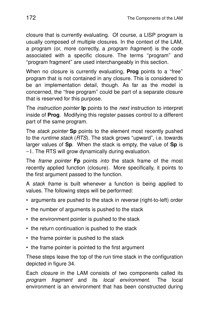closure that is currently evaluating. Of course, a LISP program is usually composed of multiple closures. In the context of the LAM, a program (or, more correctly, a program fragment) is the code associated with a specific closure. The terms "program" and ''program fragment'' are used interchangeably in this section.

When no closure is currently evaluating, **Prog** points to a "free" program that is not contained in any closure. This is considered to be an implementation detail, though. As far as the model is concerned, the "free program" could be part of a separate closure that is reserved for this purpose.

The *instruction pointer* **Ip** points to the *next* instruction to interpret inside of **Prog**. Modifying this register passes control to a different part of the same program.

The stack pointer **Sp** points to the element most recently pushed to the *runtime stack* (RTS). The stack grows "upward", i.e. towards larger values of **Sp**. When the stack is empty, the value of **Sp** is −1. The RTS will grow dynamically during evaluation.

The frame pointer **Fp** points into the stack frame of the most recently applied function (closure). More specifically, it points to the first argument passed to the function.

A *stack frame* is built whenever a function is being applied to values. The following steps will be performed:

- arguments are pushed to the stack in reverse (right-to-left) order
- the number of arguments is pushed to the stack
- the environment pointer is pushed to the stack
- the return continuation is pushed to the stack
- the frame pointer is pushed to the stack
- the frame pointer is pointed to the first argument

These steps leave the top of the run time stack in the configuration depicted in figure 34.

Each *closure* in the LAM consists of two components called its program fragment and its local environment. The local environment is an environment that has been constructed during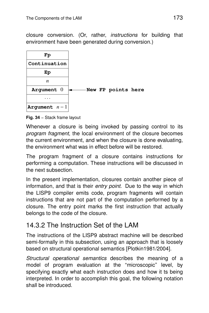closure conversion. (Or, rather, *instructions* for building that environment have been generated during conversion.)



**Fig. 34** − Stack frame layout

Whenever a closure is being invoked by passing control to its program fragment, the local environment of the closure becomes the current environment, and when the closure is done evaluating, the environment what was in effect before will be restored.

The program fragment of a closure contains instructions for perfor ming a computation. These instructions will be discussed in the next subsection.

In the present implementation, closures contain another piece of information, and that is their entry point. Due to the way in which the LISP9 compiler emits code, program fragments will contain instructions that are not part of the computation performed by a closure. The entry point marks the first instruction that actually belongs to the code of the closure.

### 14.3.2 The Instruction Set of the LAM

The instructions of the LISP9 abstract machine will be described semi-formally in this subsection, using an approach that is loosely based on structural operational semantics [Plotkin1981/2004].

Structural operational semantics describes the meaning of a model of program evaluation at the "microscopic" level, by specifying exactly what each instruction does and how it ts being interpreted. In order to accomplish this goal, the following notation shall be introduced.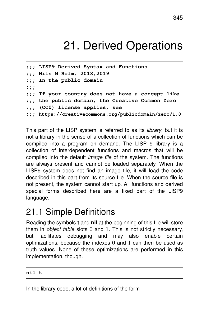# 21. Derived Operations

```
;;; LISP9 Derived Syntax and Functions
;;; Nils M Holm, 2018,2019
;;; In the public domain
;;;
;;; If your country does not have a concept like
;;; the public domain, the Creative Common Zero
:;; (CC0) license applies, see
;;; https://creativecommons.org/publicdomain/zero/1.0
```
This part of the LISP system is referred to as its *library*, but it is not a library in the sense of a collection of functions which can be compiled into a program on demand. The LISP 9 library is a collection of interdependent functions and macros that will be compiled into the default image file of the system. The functions are always present and cannot be loaded separately. When the LISP9 system does not find an image file, it will load the code described in this part from its source file. When the source file is not present, the system cannot start up. All functions and derived special forms described here are a fixed part of the LISP9 language.

## 21.1 Simple Definitions

Reading the symbols **t** and **nil** at the beginning of this file will store them in *object table* slots  $0$  and  $1$ . This is not strictly necessary, but facilitates debugging and may also enable certain optimizations, because the indexes 0 and 1 can then be used as truth values. None of these optimizations are performed in this implementation, though.

#### **nil t**

In the library code, a lot of definitions of the form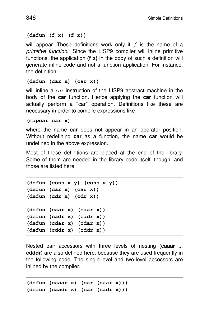#### **(defun (f x) (f x))**

will appear. These definitions work only if  $f$  is the name of a primitive function. Since the LISP9 compiler will inline primitive functions, the application **(f x)** in the body of such a definition will generate inline code and not a function application. For instance, the definition

#### **(defun (car x) (car x))**

will inline a *car* instruction of the LISP9 abstract machine in the body of the **car** function. Hence applying the **car** function will actually perform a "car" operation. Definitions like these are necessary in order to compile expressions like

#### **(mapcar car x)**

where the name **car** does not appear in an operator position. Without redefining **car** as a function, the name **car** would be undefined in the above expression.

Most of these definitions are placed at the end of the library. Some of them are needed in the library code itself, though, and those are listed here.

```
(defun (cons x y) (cons x y))
(defun (car x) (car x))
(defun (cdr x) (cdr x))
(defun (caar x) (caar x))
(defun (cadr x) (cadr x))
(defun (cdar x) (cdar x))
(defun (cddr x) (cddr x))
```
Nested pair accessors with three levels of nesting (**caaar** ... **cdddr**) are also defined here, because they are used frequently in the following code. The single-level and two-level accessors are inlined by the compiler.

**(defun (caaar x) (car (caar x))) (defun (caadr x) (car (cadr x)))**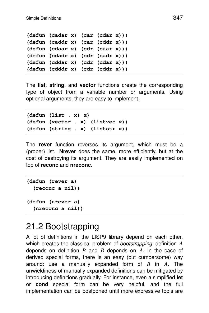```
(defun (cadar x) (car (cdar x)))
(defun (caddr x) (car (cddr x)))
(defun (cdaar x) (cdr (caar x)))
(defun (cdadr x) (cdr (cadr x)))
(defun (cddar x) (cdr (cdar x)))
(defun (cdddr x) (cdr (cddr x)))
```
The **list**, **string**, and **vector** functions create the corresponding type of object from a variable number or arguments. Using optional arguments, they are easy to implement.

```
(defun (list . x) x)
(defun (vector . x) (listvec x))
(defun (string . x) (liststr x))
```
The **rever** function reverses its argument, which must be a (proper) list. **Nrever** does the same, more efficiently, but at the cost of destroying its argument. They are easily implemented on top of **reconc** and **nreconc**.

```
(defun (rever a)
  (reconc a nil))
(defun (nrever a)
  (nreconc a nil))
```
## 21.2 Bootstrapping

A lot of definitions in the LISP9 library depend on each other, which creates the classical problem of bootstrapping: definition *A* depends on definition *B* and *B* depends on *A*. In the case of derived special forms, there is an easy (but cumbersome) way around: use a manually expanded form of  $B$  in  $A$ . The unwieldiness of manually expanded definitions can be mitigated by introducing definitions gradually. For instance, even a simplified **let** or **cond** special form can be very helpful, and the full implementation can be postponed until more expressive tools are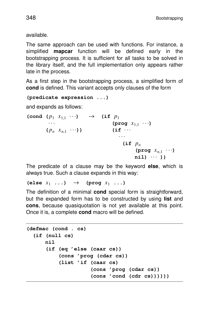available.

The same approach can be used with functions. For instance, a simplified **mapcar** function will be defined early in the bootstrapping process. It is sufficient for all tasks to be solved in the library itself, and the full implementation only appears rather late in the process.

As a first step in the bootstrapping process, a simplified form of **cond** is defined. This variant accepts only clauses of the form

```
(predicate expression ...)
```
and expands as follows:

 $(\text{cond } (p_1 \ x_{1,1} \ \cdots) \rightarrow (\text{if } p_1$  $(\text{prog } x_{1,1} \dots)$  $(p_n x_{n1} \cdots)$ ) (if  $\cdots$ ... **(if** *p<sup>n</sup>*  $(\text{prog } x_{n1} \cdots)$ **nil)** ... **))**

The predicate of a clause may be the keyword **else**, which is always true. Such a clause expands in this way:

 $\textbf{(else } x_1 \ldots) \rightarrow \textbf{(prog } x_1 \ldots)$ 

The definition of a minimal **cond** special form is straightforward, but the expanded form has to be constructed by using **list** and **cons**, because quasiquotation is not yet available at this point. Once it is, a complete **cond** macro will be defined.

```
(defmac (cond . cs)
  (if (null cs)
     nil
      (if (eq 'else (caar cs))
          (cons 'prog (cdar cs))
          (list 'if (caar cs)
                     (cons 'prog (cdar cs))
                     (cons 'cond (cdr cs))))))
```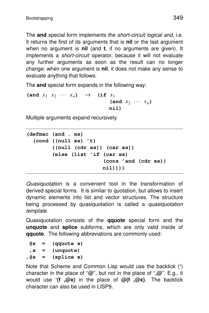The **and** special form implements the *short-circuit logical and, i.e.* it returns the first of its arguments that is **nil** or the last argument when no argument is **nil** (and **t**, if no arguments are given). It implements a *short-circuit* operator, because it will not evaluate any further arguments as soon as the result can no longer change: when one argument is **nil**, it does not make any sense to evaluate anything that follows.

The **and** special form expands in the following way:

 $(\text{and } x_1 \ x_2 \ \cdots \ x_n) \rightarrow (\text{if } x_1$  $(\text{and } x_2 \cdots x_n)$ **nil)**

Multiple arguments expand recursively.

```
(defmac (and . xs)
  (cond ((null xs) 't)
        ((null (cdr xs)) (car xs))
        (else (list 'if (car xs)
                         (cons 'and (cdr xs))
                        nil))))
```
Quasiquotation is a convenient tool in the transformation of derived special forms. It is similar to quotation, but allows to insert dynamic elements into list and vector structures. The structure being processed by quasiquotation is called a *quasiquotation* template.

Quasiquotation consists of the **qquote** special form and the **unquote** and **splice** subforms, which are only valid inside of **qquote**. The following abbreviations are commonly used:

```
@x = (qquote x)
,x = (unquote)
,@x = (splice x)
```
Note that Scheme and Common Lisp would use the backtick (**'**) character in the place of ''**@**'', but not in the place of ''**,@**''. E.g., it would use **'(f ,@x)** in the place of **@(f ,@x)**. The backtick character can also be used in LISP9.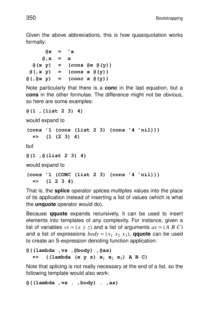Given the above abbreviations, this is how quasiquotation works formally:

```
\begin{bmatrix} \mathbf{d} \mathbf{x} \end{bmatrix} = \begin{bmatrix} \mathbf{x} \end{bmatrix}@,x = x
   @(x y) = (cons @x @(y))
  \theta(, x y) = (cons x \theta(y))
@(,@x y) = (conc x @(y))
```
Note particularly that there is a **conc** in the last equation, but a **cons** in the other formulae. The difference might not be obvious, so here are some examples:

```
@(1 ,(list 2 3) 4)
```
would expand to

```
(cons '1 (cons (list 2 3) (cons '4 'nil)))
 => (1 (2 3) 4)
```
but

```
@(1 ,@(list 2 3) 4)
```
would expand to

```
(cons '1 (CONC (list 2 3) (cons '4 'nil)))
 = (1 2 3 4)
```
That is, the **splice** operator splices multiples values into the place of its application instead of inserting a list of values (which is what the **unquote** operator would do).

Because **qquote** expands recursively, it can be used to insert elements into templates of any complexity. For instance, given a list of variables  $vs = (x \ y \ z)$  and a list of arguments  $as = (A \ B \ C)$ and a list of expressions  $body = (x_1, x_2, x_3)$ , **qquote** can be used to create an S-expression denoting function application:

```
@((lambda ,vs ,@body) ,@as)
  = ((lambda (x \ y \ z) \ x_1 \ x_2 \ x_3) A B C)
```
Note that splicing is not really necessary at the end of a list, so the following template would also work:

**@((lambda ,vs . ,body) . ,as)**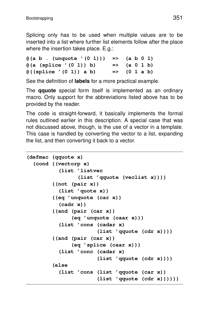Splicing only has to be used when multiple values are to be inserted into a list where further list elements follow after the place where the insertion takes place. E.g.:

 $\theta$ (a **b** . (unquote '(0 1))) => (a **b** 0 1) **@(a (splice '(0 1)) b) => (a 01b) @((splice '(0 1)) a b) => (0 1ab)**

See the definition of **labels** for a more practical example.

The **qquote** special form itself is implemented as an ordinary macro. Only support for the abbreviations listed above has to be provided by the reader.

The code is straight-forward, it basically implements the formal rules outlined earlier in this description. A special case that was not discussed above, though, is the use of a vector in a template. This case is handled by converting the vector to a list, expanding the list, and then converting it back to a vector.

```
(defmac (qquote x)
  (cond ((vectorp x)
          (list 'listvec
                (list 'qquote (veclist x))))
        ((not (pair x))
          (list 'quote x))
        ((eq 'unquote (car x))
          (cadr x))
        ((and (pair (car x))
              (eq 'unquote (caar x)))
          (list 'cons (cadar x)
                       (list 'qquote (cdr x))))
        ((and (pair (car x))
              (eq 'splice (caar x)))
          (list 'conc (cadar x)
                       (list 'qquote (cdr x))))
        (else
          (list 'cons (list 'qquote (car x))
                       (list 'qquote (cdr x))))))
```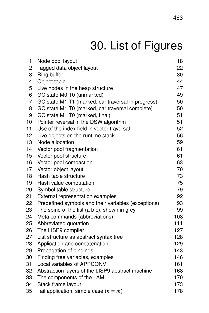# 30. List of Figures

| 1              | Node pool layout                                    | 18  |
|----------------|-----------------------------------------------------|-----|
| 2              | Tagged data object layout                           | 22  |
| 3              | Ring buffer                                         | 30  |
| 4              | Object table                                        | 44  |
| 5              | Live nodes in the heap structure                    | 47  |
| 6              | GC state M0, T0 (unmarked)                          | 49  |
| $\overline{7}$ | GC state M1, T1 (marked, car traversal in progress) | 50  |
| 8              | GC state M1, T0 (marked, car traversal complete)    | 50  |
| 9              | GC state M1, T0 (marked, final)                     | 51  |
| 10             | Pointer reversal in the DSW algorithm               | 51  |
| 11             | Use of the index field in vector traversal          | 52  |
| 12             | Live objects on the runtime stack                   | 56  |
| 13             | Node allocation                                     | 59  |
| 14             | Vector pool fragmentation                           | 61  |
| 15             | Vector pool structure                               | 61  |
| 16             | Vector pool compaction                              | 63  |
| 17             | Vector object layout                                | 70  |
| 18             | Hash table structure                                | 73  |
| 19             | Hash value computation                              | 75  |
| 20             | Symbol table structure                              | 79  |
| 21             | External representation examples                    | 92  |
| 22             | Predefined symbols and their variables (exceptions) | 93  |
| 23             | The spine of the list (a b c), shown in grey        | 99  |
| 24             | Meta commands (abbreviations)                       | 108 |
| 25             | Abbreviated quotation                               | 111 |
| 26             | The LISP9 compiler                                  | 127 |
| 27             | List structure as abstract syntax tree              | 128 |
| 28             | Application and concatenation                       | 129 |
| 29             | Propagation of bindings                             | 143 |
| 30             | Finding free variables, examples                    | 146 |
| 31             | Local variables of APPCONV                          | 161 |
| 32             | Abstraction layers of the LISP9 abstract machine    | 168 |
| 33             | The components of the LAM                           | 170 |
| 34             | Stack frame layout                                  | 173 |
| 35             | Tail application, simple case $(n = m)$             | 178 |